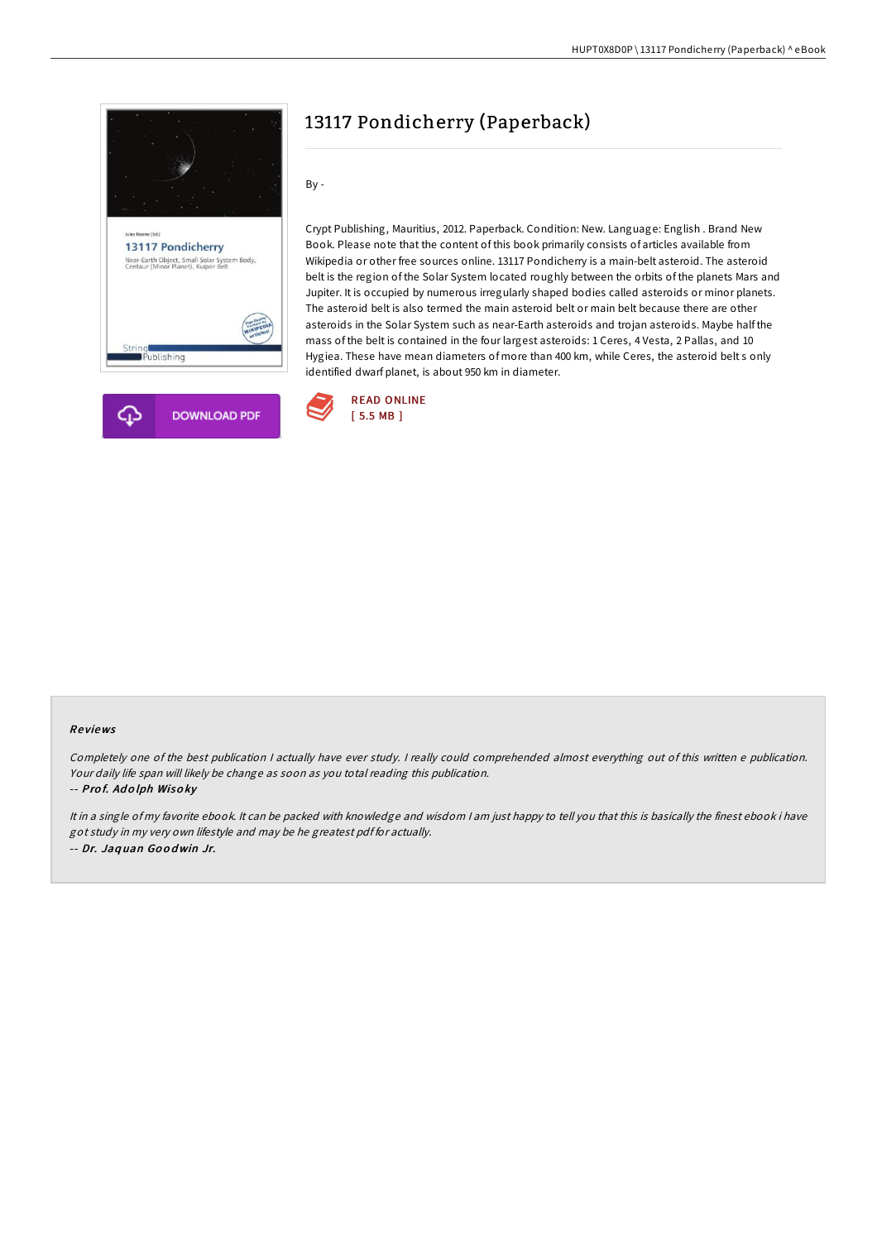



# 13117 Pondicherry (Paperback)

By -

Crypt Publishing, Mauritius, 2012. Paperback. Condition: New. Language: English . Brand New Book. Please note that the content of this book primarily consists of articles available from Wikipedia or other free sources online. 13117 Pondicherry is a main-belt asteroid. The asteroid belt is the region of the Solar System located roughly between the orbits of the planets Mars and Jupiter. It is occupied by numerous irregularly shaped bodies called asteroids or minor planets. The asteroid belt is also termed the main asteroid belt or main belt because there are other asteroids in the Solar System such as near-Earth asteroids and trojan asteroids. Maybe half the mass of the belt is contained in the four largest asteroids: 1 Ceres, 4 Vesta, 2 Pallas, and 10 Hygiea. These have mean diameters of more than 400 km, while Ceres, the asteroid belt s only identified dwarf planet, is about 950 km in diameter.



#### Re views

Completely one of the best publication <sup>I</sup> actually have ever study. <sup>I</sup> really could comprehended almost everything out of this written <sup>e</sup> publication. Your daily life span will likely be change as soon as you total reading this publication.

#### -- Pro f. Ad <sup>o</sup> lph Wiso ky

It in <sup>a</sup> single of my favorite ebook. It can be packed with knowledge and wisdom <sup>I</sup> am just happy to tell you that this is basically the finest ebook i have got study in my very own lifestyle and may be he greatest pdf for actually. -- Dr. Jaq uan Go <sup>o</sup> dwin Jr.